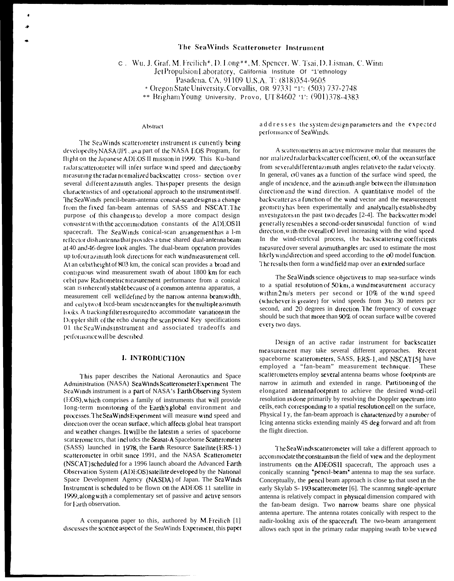# The SeaWinds Scatterometer Instrument

c. Wu, J. Graf, M. Freilich\*, D. Long\*\*, M. Spencer, W. Tsai, D. Lisman, C. Winn

Jet Propulsion Laboratory, California Institute Of "1'ethnology

Pasadena, CA, 91109 U.S.A. T: (818)354-9605

\* Oregon State University, Corvallis, OR 97331 "1": (503) 737-2748

\*\* Brigham Young University, Provo, UT 84602 '1': (901)378-4383

#### Abstract

The SeaWinds scatterometer instrument is currently being developed by NASA/JPL as a part of the NASA EOS Program, for flight on the Japanese ADEOS II mission in 1999. This Ku-band radar scatterometer will infer surface wind speed and directionby measuring the radar normalized backscatter cross-section over several different azimuth angles. This paper presents the design characteristics of and operational approach to the instrument itself. The Sea Winds pencil-beam-antenna conical-scan design is a change from the fixed fan-beam antennas of SASS and NSCAT. The purpose of this change1s to develop a more compact design consistent with the accommodation constants of the ADEOSII spacecraft. The SeaWinds conical-scan arrangementhas a l-m reflector dish antenna that provides a time shared dual-antenna beam at 40 and 46 degree look angles. The dual-beam operation provides up to four azimuth look directions for each wind measurement cell. At an orbit height of 803 km, the conical scan provides a broad and contiguous wind measurement swath of about 1800 km for each orbit paw Radiometric measurement performance from a conical scan is inherently stable because of a common antenna apparatus, a measurement cell welldefined by the narrow antenna beamwidth. and onlytwof Ixcd-beam incidence angles for the multiple azimuth looks. A tracking filter is required to accommodate variations in the Doppler shift of the echo during the scan period Key specifications 01 the SeaWindsinstrument and associated tradeoffs and performance will be described.

### **I. INTRODUCTION**

This paper describes the National Aeronautics and Space Administration (NASA) ScaWinds Scatterometer Experiment The ScaWinds instrument is a part of NASA's Earth Observing System (EOS), which comprises a family of instruments that will provide Iong-term monitoring of the Earth's global environment and processes. The Sea Winds Experiment will measure wind speed and direction over the ocean surface, which affects global heat transport and weather changes. It will be the latest in a series of spaceborne scatterome ters, that includes the Seasat-A Spaceborne Scatterometer (SASS) launched in 1978, the Earth Resource Satellite (ERS-1) scatterometer in orbit since 1991, and the NASA Scatterometer (NSCAT) scheduled for a 1996 launch aboard the Advanced Farth Observation System (ADEOS) satellite developed by the National Space Development Agency (NASDA) of Japan. The ScaWinds Instrument is scheduled to be flown on the ADEOS 11 satellite in 1999, along with a complementary set of passive and active sensors for Farth observation.

A companion paper to this, authored by M.Freilich [1] discusses the science aspect of the SeaWinds Experiment, this paper addresses the system design parameters and the expected performance of SeaWinds.

A scatterometer is an active microwave molar that measures the nor malized radar backscatter coefficient, c0, of the ocean surface from several different azimuth angles relative to the radar velocity. In general,  $\sigma$ 0 vanes as a function of the surface wind speed, the angle of incidence, and the azimuth angle between the illumination direction and the wind direction. A quantitative model of the backscatter as a function of the wind vector and the measurement geometry has been experimentally and analytically established by investigators in the past two decades [2-4]. The backscatter model generally resembles a second-order sinusoidal function of wind direction, with the overall of level increasing with the wind speed. In the wind-retrleval process, the backscattering coefficients measured over several azimuth angles arc used to estimate the most likely wind direction and speed according to the oO model function. The results then form a windfield map over an extended surface

The ScaWinds science objective is to map sea-surface winds to a spatial resolution of 50 km, a wind measurement accuracy within 2nl/s meters per second or 10% of the wind speed (whichever is greater) for wind speeds from 3 to 30 meters pcr second, and 20 degrees in direction. The frequency of coverage should be such that more than 90% of ocean surface will be covered every two days.

Design of an active radar instrument for backscatter measurement may take several different approaches. Recent spaceborne scatterometers, SASS, ERS-1, and NSCAT[5] have employed a "fan-beam" measurement technique. These scatterometers employ several antenna beams whose footprints are narrow in azimuth and extended in range. Partitioning of the elongated antennafootprint to achieve the desired wind-cell resolution is done primarily by resolving the Doppler spectrum into cells, each corresponding to a spatial resolution cell on the surface, Physical I y, the fan-beam approach is characterized by a number of Icing antenna sticks extending mainly 4S deg forward and aft from the flight direction.

The SeaWinds scatterometer will take a different approach to accommodate the constraints in the field of view and the deployment instruments on the ADEOSII spacecraft, The approach uses a conically scanning "pencil-beam" antenna to map the sea surface. Conceptually, the pencil beam approach is close to that used in the early Skylab S-193 scatterometer [6]. The scanmng single-aperture antenna is relatively compact in physical dimension compared with the fan-beam design. Two narrow beams share one physical antenna aperture. The antenna rotates conically with respect to the nadir-looking axis of the spacecraft. The two-beam arrangement allows each spot in the primary radar mapping swath to be viewed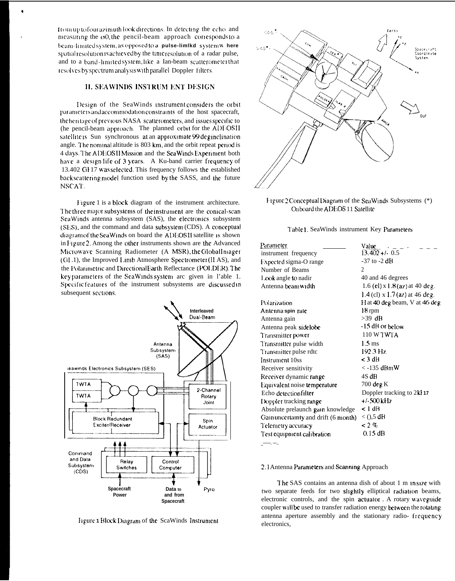from up to four azimuth look directions. In detecting the echo and measuring the o0, the pencil-beam approach corresponds to a beam-fimited system, as opposed to a pulse-limlkd system w here spatial resolution is achieved by the time resolution of a radar pulse, and to a band-limitedsystem, like a Ian-beam scatterometer that resolves by spectrum analysis with parallel Doppler filters.

# **II. SEAWINDS INSTRUM ENT DESIGN**

Design of the SeaWinds instrument considers the orbit parameters and accommodation constraints of the host spacecraft, the heritage of previous NASA scatterometers, and issues specific to (he pencil-beam approach. The planned orbit for the ADEOSII satellite is Sun synchronous at an approximate 99 deginelination angle. The nominal altitude is 803 km, and the orbit repeat period is 4 days. The ADEOSH Mission and the SeaWinds Experiment both have a design life of 3 years. A Ku-band carrier frequency of 13.402 GH17 was selected. This frequency follows the established backscattering model function used by the SASS, and the future NSCAT.

Figure 1 is a block diagram of the instrument architecture. The three major subsystems of the instrument are the conical-scan ScaWinds antenna subsystem (SAS), the electronics subsystem (SES), and the command and data subsystem (CDS). A conceptual diagram of the SeaWinds on board the ADEOSII satellite is shown in Figure 2. Among the other instruments shown are the Advanced Microwave Scanning Radiometer (A MSR), the Global Imager (GL.1), the Improved Limb Atmosphere Spectrometer (II AS), and the Polarimetric and DirectionalFarth Reflectance (POLDER). The key parameters of the SeaWinds system are given in l'able 1. Specific features of the instrument subsystems are discussed in subsequent sections.



Figure 1 Block Diagram of the ScaWinds Instrument



Figure 2 Conceptual Diagram of the SeaWinds Subsystems (\*) Onboard the ADEOS 11 Satellite

### Table 1. SeaWinds instrument Key Parameters

| Parameter                            | Value                            |
|--------------------------------------|----------------------------------|
| instrument frequency                 | $13.402 + 0.5$                   |
| Expected sigma-O range               | $-37$ to $-2$ dB                 |
| Number of Beams                      | $\mathfrak{D}$                   |
| I ook angle to nadir                 | 40 and 46 degrees                |
| Antenna beam width                   | 1.6 (el) $x$ 1.8 (az) at 40 deg. |
|                                      | 1.4 (cl) x 1.7 (az) at 46 deg.   |
| Polarization                         | H at 40 deg beam, V at 46 deg    |
| Antenna spin rate                    | 18 rpm                           |
| Antenna gain                         | $>39$ dB                         |
| Antenna peak sidelobe                | -15 dB or below                  |
| Transmitter power                    | 110 W TWTA                       |
| Transmitter pulse width              | $1.5 \,\mathrm{ms}$              |
| Transmitter pulse rdtc               | $192.3 \text{ Hz}$               |
| Instrument 10ss                      | < 3 dB                           |
| Receiver sensitivity                 | $<$ -135 dBmW                    |
| Receiver dynamic range               | 4S dB                            |
| Equivalent noise temperature         | $700$ deg K                      |
| Echo detectionfilter                 | Doppler tracking to 2kl 17       |
| Doppler tracking range               | +/-500 kHz                       |
| Absolute prelaunch gain knowledge    | $< 1$ dB                         |
| Gain uncertainty and drift (6 month) | $<$ (),5 dB                      |
| Telemetry accuracy                   | $<$ 2 $\%$                       |
| Test equipment calibration           | $0.15$ dB                        |
|                                      |                                  |

### 2.1 Antenna Parameters and Scanning Approach

The SAS contains an antenna dish of about 1 m in size with two separate feeds for two slightly elliptical radiation beams, electronic controls, and the spin actuator. A rotary waveguide coupler will be used to transfer radiation energy between the rotating antenna aperture assembly and the stationary radio-frequency electronics,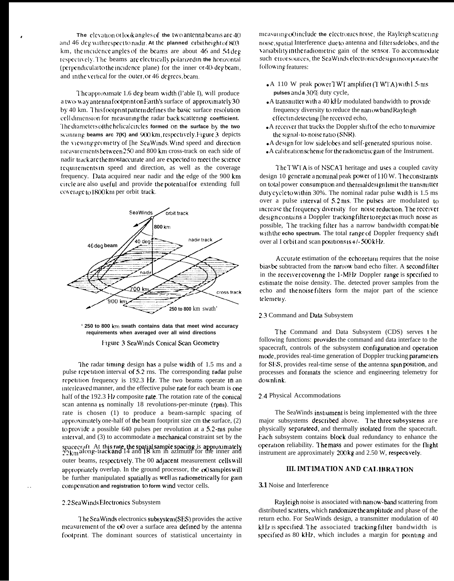**The clevation of look angles of the two antenna beams are 40 :Ind** 46 dcg <sup>w</sup> **](h rcspecl to nadl;. At the planned rr[bit height {f 803** km, the incidence angles of the beams are about  $46$  and  $54$  deg Icsper[l!cly, I'hc beams arc clrctnc:illy **pdarlzcd in the hrrnzontal** (perpendicular to the incidence plane) for the inner or 40-deg beam, and in the vertical for the outer, or 46 degrees, beam.

The approximate 1.6 deg beam width (l'able I), will produce a two way antenna footprint on Earth's surface of approximately 30 by 40 km. This footprint pattern defines the basic surface resolution cell dimension for measuring the radar back scattering coefficient. **'1 hc cflamc~c!s ol the helled clrclcs formed on the surface by the two** scanning beams arc 7(K) and 900 km, respectively. Figure 3 depicts the viewing geometry of [he ScaWinds, Wind speed and direction measurements between 250 and 800 km cross-track on each side of nadir track are the most accurate and are expected to meet the science requirements in speed and direction, as well as the coverage frequency. Data acquired near nadir and Ihc edge of the 900 km circle are also useful and provide the potential for extending full coverage to 1800km per orbit track.



**' 250 to 800 krn swath contains data that meet wind accuracy requirements when averaged over all wind directions** Figure 3 SeaWinds Conical Scan Geometry

The radar timing design has a pulse width of 1.5 ms and a pulse repetition interval of 5.2 rns. The corresponding radar pulse repetition frequency is 192.3 Hz. The two beams operate In an interleaved manner, and the effective pulse rate for each beam is one half of the 192.3 **H7** composite rate. The rotation rate of the comcal scan antenna is nominally 18 revolutions-per-minute (rpm). This rate is chosen (1) to produce a beam-sarnplc spacing of approximately one-half of the beam footprint size cm the surface,  $(2)$ <sup>10</sup> prorldc a possible 640 pulses per revolution at a 5.2-nts pulse interval, and  $(3)$  to accommodate a mechanical constraint set by the spacecraft. At this rate, the spatial sample spacing is approximately  $22 \text{km}$  along-track and 14 and 18 km in azimuth for the inner and outer beams, respectively. The 00 adjacent measurement cells will appropriately overlap. In the ground processor, the  $\alpha$ 0 samples will be further manipulated spatially as well as radiometrically for gain compensation and registration to form wind vector cells.

### 2.2 Sea Winds Electronics Subsystem

The ScaWinds electronics subsystem(SES) provides the active mcasurement of the cO over a surface area defined by the antenna footprint, The dominant sources of statistical uncertainty in

measuring  $\alpha$ ) include the electronics noise, the Rayleigh scattering muse, spalml Interference duc to antenna and flltcrsldclobes, and the variability in the radiometric gain of the sensor. To accommodate such error sources, the SeaWinds electronics design incorporates the following features:

- $\bullet$  A 110 W peak power TWT amplifier (TWTA) with 1.5-ms **pulses and a 30%** duty cycle,
- $\bullet$  A transmitter with a 40 kHz modulated bandwidth to provide frequency diversity to reduce the nariowband Rayleigh effect in detecting [he received echo,
- A receiver that tracks the Doppler shift of the echo to maximize the signal-to-noise ratio (SNR).
- A design for low sidelobes and self-generated spurious noise.
- A calibration scheme for the radiometric gain of the Instrument.

I'he I'WI'A is of NSCAI' heritage and uscs a coupled cavity design 10 generate a nominal peak power of  $110 \text{ W}$ . The constraints on total power consumption and thermaldesign limit the transmitter duty cycle to within 30%. The nominal radar pulse width is 1.5 ms over a pulse interval of  $5.2 \text{ ms}$ . The pulses are modulated to Increase the frequency diversity for noise reduction. The receiver design contains a Doppler tracking filter to reject as much noise as possible, The tracking filter has a narrow bandwidth compatible with the echo spectrum. The total range of Doppler frequency shift over al I orbit and scan positions  $1s + 1 - 500k$  Hz.

Accurate estimation of the echo return requires that the noise bias be subtracted from the narrow band echo filter. A second filter in the receiver covering the 1-MHz Doppler range is specified to cstimate the noise density. The. detected prover samples from the echo and Ihc noise flltcrs form the major part of the science telcmelry.

#### 2.3 Command and Data Subsystem

I'he Command and Data Subsystem (CDS) serves I he following functions: provides the command and data interface to the spacecraft, controls of the subsystem configuration and operation mode, provides real-time generation of Doppler trucking parameters for SI:S, provides real-time sense of the antenna spin position, and processes and formats the science and engineering telemetry for downlink.

### 2.4 Physical Accommodations

The SeaWinds instrument is being implemented with the three major subsystems described above. The three subsystems are physically separateed, and thermally isolated from the spacecraft. Each subsystem contains block dual redundancy to enhance the operation reliability. The mass and power estimates for the flight instrument are approximately 200 kg and 2.50 W, respecuvely.

# **III. IMT1MATION AND CALIBRATION**

### **3.1** Noise and Interference

Rayleigh noise is associated with narrcw-band scattering from distributed scatters, which randomize the amplitude and phase of the return echo. For SeaWinds design, a transmitter modulation of 40 kHz is specified. The associated tracking filter bandwidth is specified as 80 kHz, which includes a margin for pointing and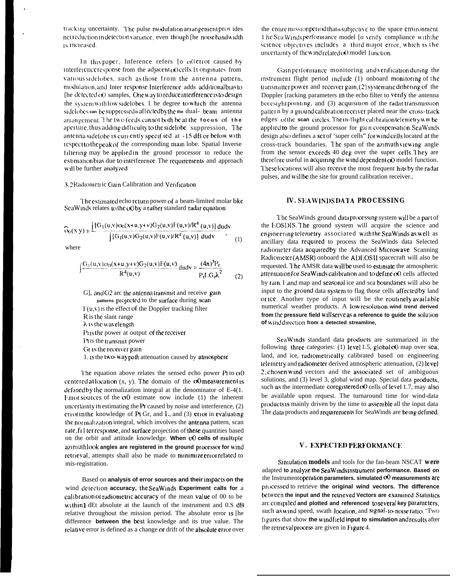tracking uncertainty. The pulse modulation arrangement provides net reduction in detection variance, even though [he noise bandwidth] is increased.

In this paper, Inference refers [ $\sigma$   $\sigma$ ) error caused by interference response from the adjacent of cells. It originates from various sidelobes, such as those from the antenna pattern, modulation, and Inter response. Interference adds additional bias to [he detected cx) samples, One way to reduce interference is to design the system with low sidelobes. 1 he degree to which the antenna sidelobes can be suppressed is affected by the the dual-beam antenna arrangement. The two feeds cannot both be at the focus of the aperture, thus adding difficulty to the sidelobe suppression, The antenna sidelobe is currently specified at -15 dB or below with respect to the peak of the corresponding main lobe. Spatial Inverse filtering may be applied in the ground processor to reduce the estimation bias due to interference. The requirements and approach will be further analyzed.

### 3.2 Radiometric Gain Calibration and Verification

The estimated echo return power of a beam-limited molar like SeaWinds relates to the cO by a rather standard radar equation:

$$
\widehat{G}_0(x, y) = \frac{\int [G_1(u, v)\sigma_0(x+u, y+v)G_2(u, v)]F(u, v)/R^4(u, v)] du dv}{\int [G_1(u, v)G_2(u, v)]F(u, v)/R^4(u, v)] du dv} \tag{1}
$$

where

$$
\int \frac{G_1(u,v)\sigma_0(x+u,y+v)G_2(u,v)F(u,v)}{R^4(u,v)} du dv = \frac{(4\pi)^3 P_r}{P_t L G_t \lambda^2}
$$
 (2)

G], and G2 arc the antenna transmit and receive gain patterns projected to the surface during scan  $F(u, v)$  is the effect of the Doppler tracking filter R is the slant range  $\lambda$  is the wavelength Pris the power at output of the receiver Pus the transmit power Gras the receiver gain. 1. is the two-waypath attenuation caused by atmosphere

The equation above relates the sensed echo power  $P_1$  to  $q_0$ centered at location  $(x, y)$ . The domain of the  $\infty$  measurement is defined by the normalization integral at the denominator of  $E-4(1)$ . Error sources of the  $\sigma$ 0 estimate now include (1) the inherent uncertainty in estimating the  $Pr$  caused by noise and interference,  $(2)$ error in the knowledge of Pt Gr, and  $L$ , and (3) error in evaluating the normalization integral, which involves the antenna pattern, scan rate, fi I ter response, and surface projection of these quantities based on the orbit and attitude knowledge. When cO cells of multiple azimuthlook angles are registered in the ground processor for wind retrieval, attempts shall also be made to minimize error related to mis-registration.

Based on analysis of error sources and their impacts on the wind detection accuracy, the SeaWinds Experiment calls for a calibration or radiometric accuracy of the mean value of 00 to be within1 dEt absolute at the launch of the instrument and 0.S dB relative throughout the mission period. The absolute error is the difference between the best knowledge and its true value. The relative error is defined as a change or drift of the absolute error over

the entire mission period that is subjective to the space environment. 1 he Sea Winds performance model [o verify compliance with the science objectives includes a third major error, which is the uncertainty of the wind related oO model function.

Gain performance monitoring and verification during the instrument flight period include (1) onboard monitoring of the transmitter power and receiver gain, (2) systematic dithering of the Doppler [racking parameters in the echo filter to verify the antenna boresight pointing, and (3) acquisition of the radar transmission pattern by a ground calibration receiver placed near the cross-track edges of the scan circles. The in-flight calibration telemetry will be applied to the ground processor for gain compensation. Sea Winds design also defines a set of 'super cells' for wind cells located at the cross-track boundaries. The span of the azimuth viewing angle from the sensor exceeds 40 deg over the super cells. They are therefore useful in acquiring the wind dependent  $\infty$  model function. These locations will also receive the most frequent hits by the radar pulses, and will be the site for ground calibration receiver...

# **IV. SEAWINDSDATA PROCESSING**

The SeaWinds ground data processing system will be a part of the EOSDIS The ground system will acquire the science and engineering telemetry associated with the SeaWinds as well as ancillary data required to process the SeaWinds data Selected radiometer data acquired by the Advanced Microwave Scanning Radiometer (AMSR) onboard the ADEOSH spacecraft will also be requested. The AMSR data will be used to estimate the atmospheric attenuation for SeaWinds calibration and to define oO cells affected by rain. I and map and seasonal ice and sca boundaries will also be input to the ground data system to flag those cells affected by land orice. Another type of input will be the routinely available numerical weather products. A low resolution wind trend derived from the pressure field willserve as a reference to guide the solution of winddirection from a detected streamline,

ScaWinds standard data products are summarized in the following three categories: (1) level 1.5, global o0 map over sea, land, and ice, radiometrically calibrated based on engineering telemetry and radiometer derived atmospheric attenuation, (2) level 2, chosen wind vectors and the associated set of ambiguous solutions, and (3) level 3, global wind map. Special data products, such as the intermediate coregistered cO cells of level 1.7, may also be available upon request. The turnaround time for wind-data products is mainly driven by the time to assemble all the input data The data products and requirements for SeaWinds are being defined.

### V. EXPECTED PERFORMANCE

Simulation models and tools for the fan-beam NSCAT were adapted to analyze the ScaWinds instrument performance. Based on the Instrumentoperation parameters. simulated  $\infty$  measurements are processed to retrieve the original wind vectors. The difference between the input and the retrieved Vectors are examined. Statistics are compiled and plotted and referenced to several key parameters. such as wind speed, swath location, and signal-to-noise ratio. 'Two figures that show the windfield input to simulation and results after the retrieval process are given in Figure 4.